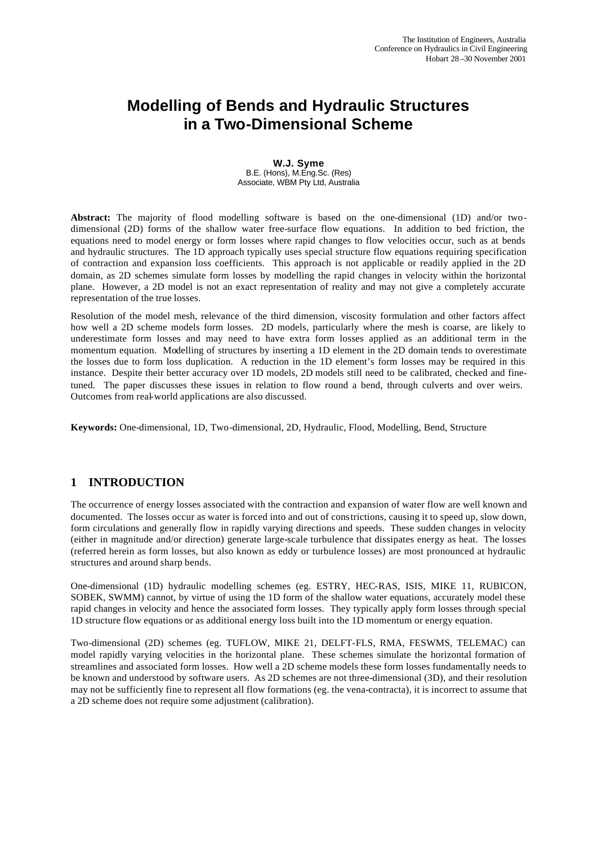# **Modelling of Bends and Hydraulic Structures in a Two-Dimensional Scheme**

**W.J. Syme** B.E. (Hons), M.Eng.Sc. (Res) Associate, WBM Pty Ltd, Australia

**Abstract:** The majority of flood modelling software is based on the one-dimensional (1D) and/or twodimensional (2D) forms of the shallow water free-surface flow equations. In addition to bed friction, the equations need to model energy or form losses where rapid changes to flow velocities occur, such as at bends and hydraulic structures. The 1D approach typically uses special structure flow equations requiring specification of contraction and expansion loss coefficients. This approach is not applicable or readily applied in the 2D domain, as 2D schemes simulate form losses by modelling the rapid changes in velocity within the horizontal plane. However, a 2D model is not an exact representation of reality and may not give a completely accurate representation of the true losses.

Resolution of the model mesh, relevance of the third dimension, viscosity formulation and other factors affect how well a 2D scheme models form losses. 2D models, particularly where the mesh is coarse, are likely to underestimate form losses and may need to have extra form losses applied as an additional term in the momentum equation. Modelling of structures by inserting a 1D element in the 2D domain tends to overestimate the losses due to form loss duplication. A reduction in the 1D element's form losses may be required in this instance. Despite their better accuracy over 1D models, 2D models still need to be calibrated, checked and finetuned. The paper discusses these issues in relation to flow round a bend, through culverts and over weirs. Outcomes from real-world applications are also discussed.

**Keywords:** One-dimensional, 1D, Two-dimensional, 2D, Hydraulic, Flood, Modelling, Bend, Structure

# **1 INTRODUCTION**

The occurrence of energy losses associated with the contraction and expansion of water flow are well known and documented. The losses occur as water is forced into and out of constrictions, causing it to speed up, slow down, form circulations and generally flow in rapidly varying directions and speeds. These sudden changes in velocity (either in magnitude and/or direction) generate large-scale turbulence that dissipates energy as heat. The losses (referred herein as form losses, but also known as eddy or turbulence losses) are most pronounced at hydraulic structures and around sharp bends.

One-dimensional (1D) hydraulic modelling schemes (eg. ESTRY, HEC-RAS, ISIS, MIKE 11, RUBICON, SOBEK, SWMM) cannot, by virtue of using the 1D form of the shallow water equations, accurately model these rapid changes in velocity and hence the associated form losses. They typically apply form losses through special 1D structure flow equations or as additional energy loss built into the 1D momentum or energy equation.

Two-dimensional (2D) schemes (eg. TUFLOW, MIKE 21, DELFT-FLS, RMA, FESWMS, TELEMAC) can model rapidly varying velocities in the horizontal plane. These schemes simulate the horizontal formation of streamlines and associated form losses. How well a 2D scheme models these form losses fundamentally needs to be known and understood by software users. As 2D schemes are not three-dimensional (3D), and their resolution may not be sufficiently fine to represent all flow formations (eg. the vena-contracta), it is incorrect to assume that a 2D scheme does not require some adjustment (calibration).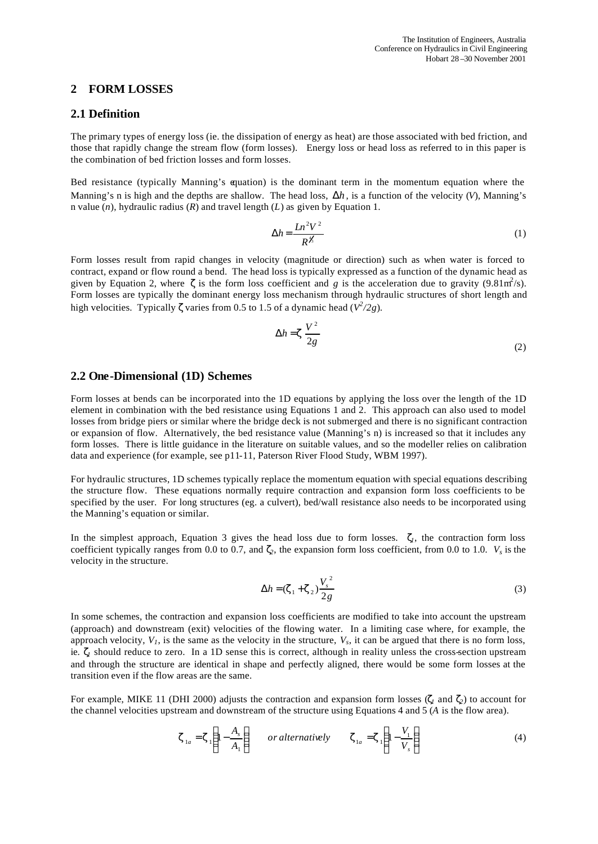## **2 FORM LOSSES**

#### **2.1 Definition**

The primary types of energy loss (ie. the dissipation of energy as heat) are those associated with bed friction, and those that rapidly change the stream flow (form losses). Energy loss or head loss as referred to in this paper is the combination of bed friction losses and form losses.

Bed resistance (typically Manning's equation) is the dominant term in the momentum equation where the Manning's n is high and the depths are shallow. The head loss,  $\Delta h$ , is a function of the velocity (*V*), Manning's n value (*n*), hydraulic radius (*R*) and travel length (*L*) as given by Equation 1.

$$
\Delta h = \frac{Ln^2 V^2}{R^{\gamma/2}}
$$
 (1)

Form losses result from rapid changes in velocity (magnitude or direction) such as when water is forced to contract, expand or flow round a bend. The head loss is typically expressed as a function of the dynamic head as given by Equation 2, where **z** is the form loss coefficient and *g* is the acceleration due to gravity (9.81m<sup>2</sup>/s). Form losses are typically the dominant energy loss mechanism through hydraulic structures of short length and high velocities. Typically **z** varies from 0.5 to 1.5 of a dynamic head  $(V^2/2g)$ .

$$
\Delta h = \mathbf{z} \frac{V^2}{2g} \tag{2}
$$

#### **2.2 One-Dimensional (1D) Schemes**

Form losses at bends can be incorporated into the 1D equations by applying the loss over the length of the 1D element in combination with the bed resistance using Equations 1 and 2. This approach can also used to model losses from bridge piers or similar where the bridge deck is not submerged and there is no significant contraction or expansion of flow. Alternatively, the bed resistance value (Manning's n) is increased so that it includes any form losses. There is little guidance in the literature on suitable values, and so the modeller relies on calibration data and experience (for example, see p11-11, Paterson River Flood Study, WBM 1997).

For hydraulic structures, 1D schemes typically replace the momentum equation with special equations describing the structure flow. These equations normally require contraction and expansion form loss coefficients to be specified by the user. For long structures (eg. a culvert), bed/wall resistance also needs to be incorporated using the Manning's equation or similar.

In the simplest approach, Equation 3 gives the head loss due to form losses. *z1*, the contraction form loss coefficient typically ranges from 0.0 to 0.7, and  $\mathbf{z}_2$ , the expansion form loss coefficient, from 0.0 to 1.0.  $V_s$  is the velocity in the structure.

$$
\Delta h = (\mathbf{z}_1 + \mathbf{z}_2) \frac{V_s^2}{2g} \tag{3}
$$

In some schemes, the contraction and expansion loss coefficients are modified to take into account the upstream (approach) and downstream (exit) velocities of the flowing water. In a limiting case where, for example, the approach velocity,  $V<sub>1</sub>$ , is the same as the velocity in the structure,  $V<sub>s</sub>$ , it can be argued that there is no form loss, ie. *z1* should reduce to zero. In a 1D sense this is correct, although in reality unless the cross-section upstream and through the structure are identical in shape and perfectly aligned, there would be some form losses at the transition even if the flow areas are the same.

For example, MIKE 11 (DHI 2000) adjusts the contraction and expansion form losses (*z<sup>1</sup>* and *z2*) to account for the channel velocities upstream and downstream of the structure using Equations 4 and 5 (*A* is the flow area).

$$
\mathbf{z}_{1a} = \mathbf{z}_1 \left( 1 - \frac{A_s}{A_1} \right) \qquad or \text{ alternatively} \qquad \mathbf{z}_{1a} = \mathbf{z}_1 \left( 1 - \frac{V_1}{V_s} \right) \tag{4}
$$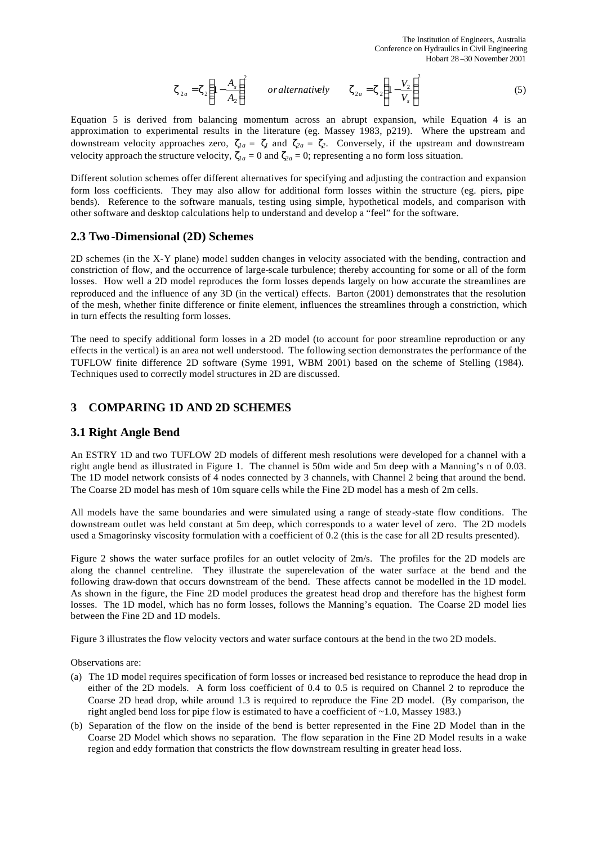$$
\mathbf{z}_{2a} = \mathbf{z}_2 \left( 1 - \frac{A_s}{A_2} \right)^2 \qquad \text{or alternatively} \qquad \mathbf{z}_{2a} = \mathbf{z}_2 \left( 1 - \frac{V_2}{V_s} \right)^2 \tag{5}
$$

Equation 5 is derived from balancing momentum across an abrupt expansion, while Equation 4 is an approximation to experimental results in the literature (eg. Massey 1983, p219). Where the upstream and downstream velocity approaches zero,  $\mathbf{z}_a = \mathbf{z}_i$  and  $\mathbf{z}_a = \mathbf{z}_i$ . Conversely, if the upstream and downstream velocity approach the structure velocity,  $z_{1a} = 0$  and  $z_{2a} = 0$ ; representing a no form loss situation.

Different solution schemes offer different alternatives for specifying and adjusting the contraction and expansion form loss coefficients. They may also allow for additional form losses within the structure (eg. piers, pipe bends). Reference to the software manuals, testing using simple, hypothetical models, and comparison with other software and desktop calculations help to understand and develop a "feel" for the software.

# **2.3 Two-Dimensional (2D) Schemes**

2D schemes (in the X-Y plane) model sudden changes in velocity associated with the bending, contraction and constriction of flow, and the occurrence of large-scale turbulence; thereby accounting for some or all of the form losses. How well a 2D model reproduces the form losses depends largely on how accurate the streamlines are reproduced and the influence of any 3D (in the vertical) effects. Barton (2001) demonstrates that the resolution of the mesh, whether finite difference or finite element, influences the streamlines through a constriction, which in turn effects the resulting form losses.

The need to specify additional form losses in a 2D model (to account for poor streamline reproduction or any effects in the vertical) is an area not well understood. The following section demonstrates the performance of the TUFLOW finite difference 2D software (Syme 1991, WBM 2001) based on the scheme of Stelling (1984). Techniques used to correctly model structures in 2D are discussed.

## **3 COMPARING 1D AND 2D SCHEMES**

#### **3.1 Right Angle Bend**

An ESTRY 1D and two TUFLOW 2D models of different mesh resolutions were developed for a channel with a right angle bend as illustrated in Figure 1. The channel is 50m wide and 5m deep with a Manning's n of 0.03. The 1D model network consists of 4 nodes connected by 3 channels, with Channel 2 being that around the bend. The Coarse 2D model has mesh of 10m square cells while the Fine 2D model has a mesh of 2m cells.

All models have the same boundaries and were simulated using a range of steady-state flow conditions. The downstream outlet was held constant at 5m deep, which corresponds to a water level of zero. The 2D models used a Smagorinsky viscosity formulation with a coefficient of 0.2 (this is the case for all 2D results presented).

Figure 2 shows the water surface profiles for an outlet velocity of 2m/s. The profiles for the 2D models are along the channel centreline. They illustrate the superelevation of the water surface at the bend and the following draw-down that occurs downstream of the bend. These affects cannot be modelled in the 1D model. As shown in the figure, the Fine 2D model produces the greatest head drop and therefore has the highest form losses. The 1D model, which has no form losses, follows the Manning's equation. The Coarse 2D model lies between the Fine 2D and 1D models.

Figure 3 illustrates the flow velocity vectors and water surface contours at the bend in the two 2D models.

Observations are:

- (a) The 1D model requires specification of form losses or increased bed resistance to reproduce the head drop in either of the 2D models. A form loss coefficient of 0.4 to 0.5 is required on Channel 2 to reproduce the Coarse 2D head drop, while around 1.3 is required to reproduce the Fine 2D model. (By comparison, the right angled bend loss for pipe flow is estimated to have a coefficient of  $\sim$ 1.0, Massey 1983.)
- (b) Separation of the flow on the inside of the bend is better represented in the Fine 2D Model than in the Coarse 2D Model which shows no separation. The flow separation in the Fine 2D Model results in a wake region and eddy formation that constricts the flow downstream resulting in greater head loss.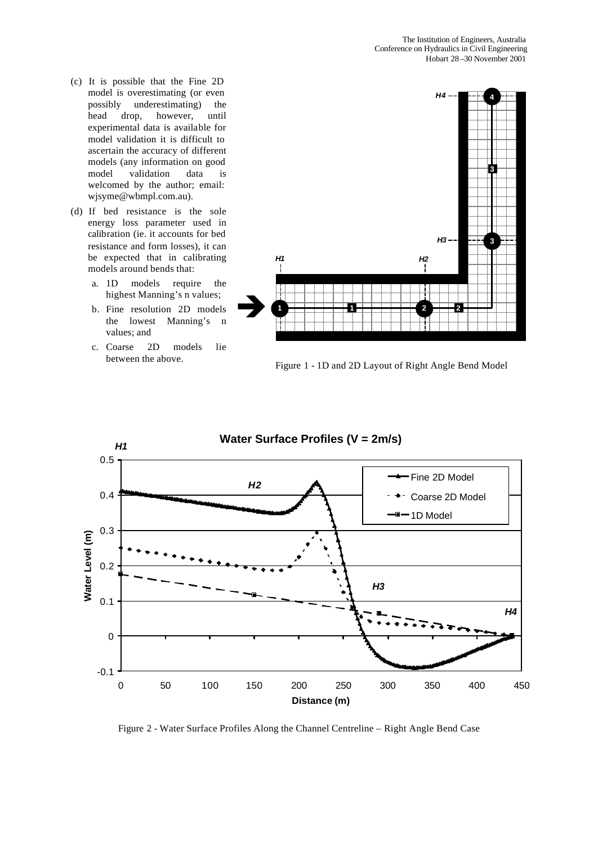- (c) It is possible that the Fine 2D model is overestimating (or even possibly underestimating) the head drop, however, until experimental data is available for model validation it is difficult to ascertain the accuracy of different models (any information on good model validation data is welcomed by the author; email: wjsyme@wbmpl.com.au).
- (d) If bed resistance is the sole energy loss parameter used in calibration (ie. it accounts for bed resistance and form losses), it can be expected that in calibrating models around bends that:
	- a. 1D models require the highest Manning's n values;
	- b. Fine resolution 2D models the lowest Manning's n values; and
	- c. Coarse 2D models lie between the above.



Figure 1 - 1D and 2D Layout of Right Angle Bend Model



Figure 2 - Water Surface Profiles Along the Channel Centreline – Right Angle Bend Case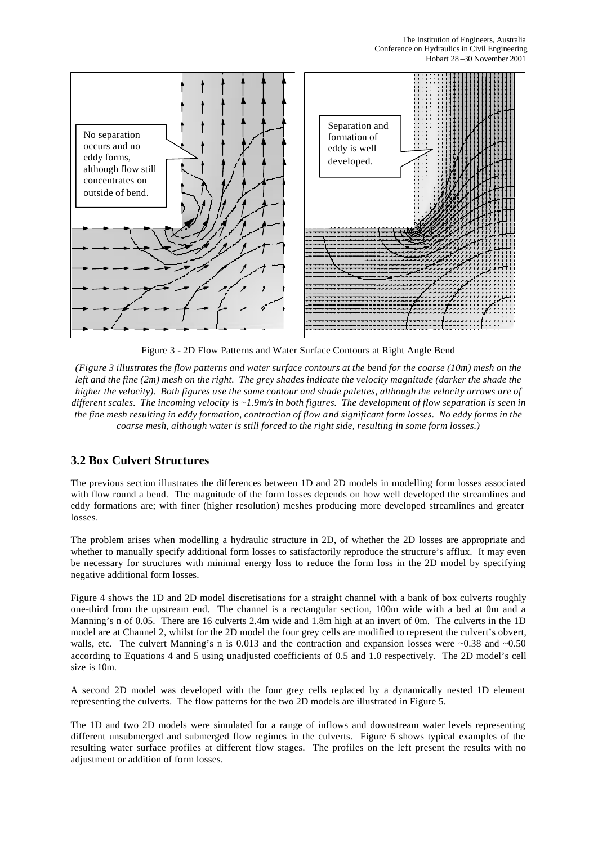

Figure 3 - 2D Flow Patterns and Water Surface Contours at Right Angle Bend

*(Figure 3 illustrates the flow patterns and water surface contours at the bend for the coarse (10m) mesh on the left and the fine (2m) mesh on the right. The grey shades indicate the velocity magnitude (darker the shade the higher the velocity). Both figures use the same contour and shade palettes, although the velocity arrows are of different scales. The incoming velocity is ~1.9m/s in both figures. The development of flow separation is seen in the fine mesh resulting in eddy formation, contraction of flow and significant form losses. No eddy forms in the coarse mesh, although water is still forced to the right side, resulting in some form losses.)*

# **3.2 Box Culvert Structures**

The previous section illustrates the differences between 1D and 2D models in modelling form losses associated with flow round a bend. The magnitude of the form losses depends on how well developed the streamlines and eddy formations are; with finer (higher resolution) meshes producing more developed streamlines and greater losses.

The problem arises when modelling a hydraulic structure in 2D, of whether the 2D losses are appropriate and whether to manually specify additional form losses to satisfactorily reproduce the structure's afflux. It may even be necessary for structures with minimal energy loss to reduce the form loss in the 2D model by specifying negative additional form losses.

Figure 4 shows the 1D and 2D model discretisations for a straight channel with a bank of box culverts roughly one-third from the upstream end. The channel is a rectangular section, 100m wide with a bed at 0m and a Manning's n of 0.05. There are 16 culverts 2.4m wide and 1.8m high at an invert of 0m. The culverts in the 1D model are at Channel 2, whilst for the 2D model the four grey cells are modified to represent the culvert's obvert, walls, etc. The culvert Manning's n is 0.013 and the contraction and expansion losses were  $\sim 0.38$  and  $\sim 0.50$ according to Equations 4 and 5 using unadjusted coefficients of 0.5 and 1.0 respectively. The 2D model's cell size is 10m.

A second 2D model was developed with the four grey cells replaced by a dynamically nested 1D element representing the culverts. The flow patterns for the two 2D models are illustrated in Figure 5.

The 1D and two 2D models were simulated for a range of inflows and downstream water levels representing different unsubmerged and submerged flow regimes in the culverts. Figure 6 shows typical examples of the resulting water surface profiles at different flow stages. The profiles on the left present the results with no adjustment or addition of form losses.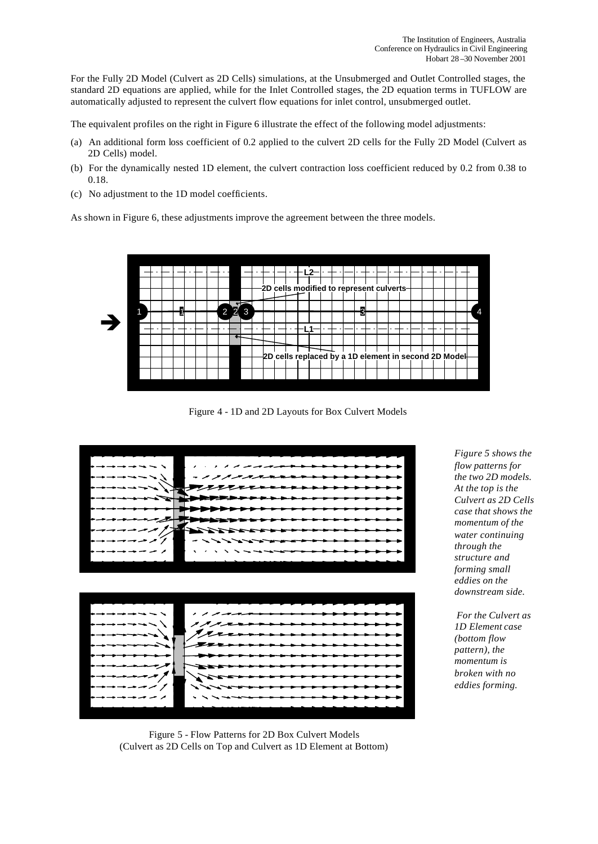For the Fully 2D Model (Culvert as 2D Cells) simulations, at the Unsubmerged and Outlet Controlled stages, the standard 2D equations are applied, while for the Inlet Controlled stages, the 2D equation terms in TUFLOW are automatically adjusted to represent the culvert flow equations for inlet control, unsubmerged outlet.

The equivalent profiles on the right in Figure 6 illustrate the effect of the following model adjustments:

- (a) An additional form loss coefficient of 0.2 applied to the culvert 2D cells for the Fully 2D Model (Culvert as 2D Cells) model.
- (b) For the dynamically nested 1D element, the culvert contraction loss coefficient reduced by 0.2 from 0.38 to 0.18.
- (c) No adjustment to the 1D model coefficients.

As shown in Figure 6, these adjustments improve the agreement between the three models.



Figure 4 - 1D and 2D Layouts for Box Culvert Models



*Figure 5 shows the flow patterns for the two 2D models. At the top is the Culvert as 2D Cells case that shows the momentum of the water continuing through the structure and forming small eddies on the downstream side.*

 *For the Culvert as 1D Element case (bottom flow pattern), the momentum is broken with no eddies forming.*

Figure 5 - Flow Patterns for 2D Box Culvert Models (Culvert as 2D Cells on Top and Culvert as 1D Element at Bottom)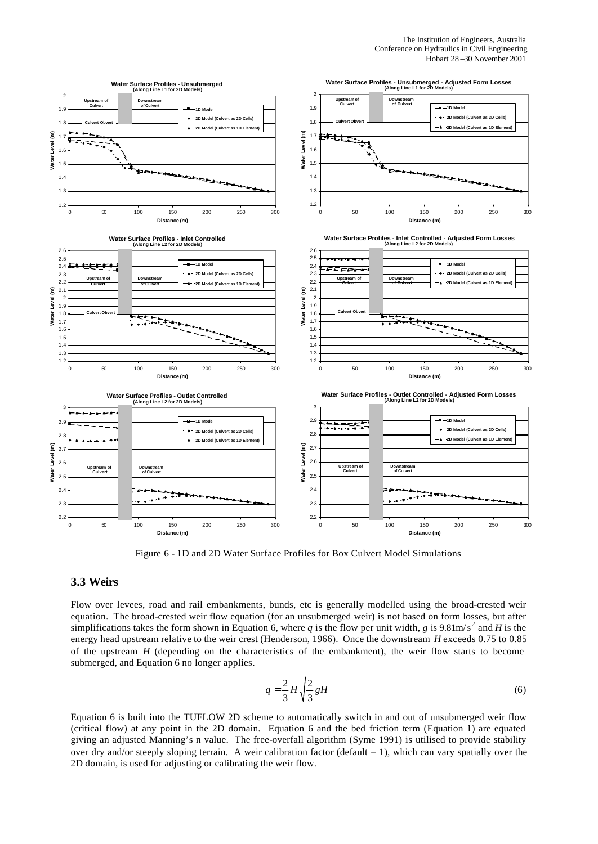

Figure 6 - 1D and 2D Water Surface Profiles for Box Culvert Model Simulations

## **3.3 Weirs**

Flow over levees, road and rail embankments, bunds, etc is generally modelled using the broad-crested weir equation. The broad-crested weir flow equation (for an unsubmerged weir) is not based on form losses, but after simplifications takes the form shown in Equation 6, where *q* is the flow per unit width, *g* is 9.81m/s<sup>2</sup> and *H* is the energy head upstream relative to the weir crest (Henderson, 1966). Once the downstream *H* exceeds 0.75 to 0.85 of the upstream *H* (depending on the characteristics of the embankment), the weir flow starts to become submerged, and Equation 6 no longer applies.

$$
q = \frac{2}{3}H\sqrt{\frac{2}{3}gH}
$$
\n<sup>(6)</sup>

Equation 6 is built into the TUFLOW 2D scheme to automatically switch in and out of unsubmerged weir flow (critical flow) at any point in the 2D domain. Equation 6 and the bed friction term (Equation 1) are equated giving an adjusted Manning's n value. The free-overfall algorithm (Syme 1991) is utilised to provide stability over dry and/or steeply sloping terrain. A weir calibration factor (default  $= 1$ ), which can vary spatially over the 2D domain, is used for adjusting or calibrating the weir flow.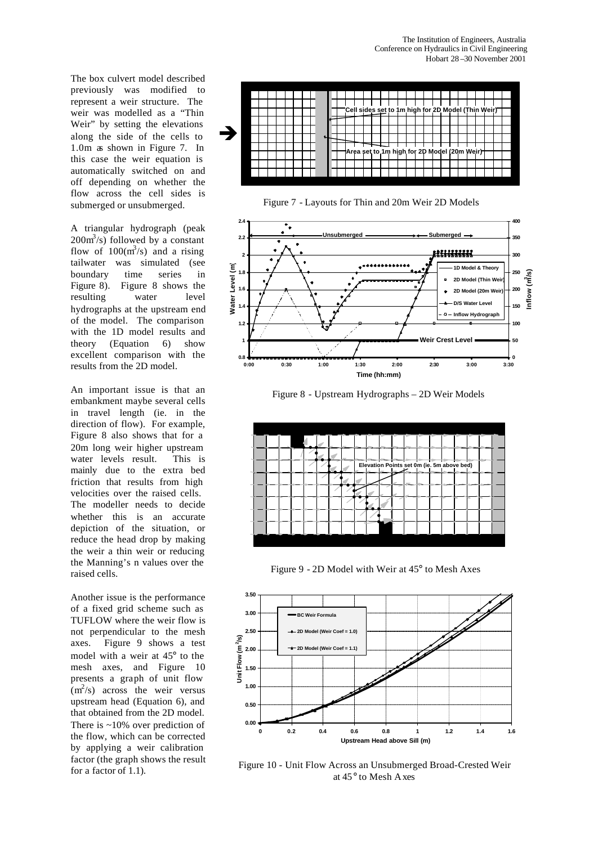The box culvert model described previously was modified to represent a weir structure. The weir was modelled as a "Thin Weir" by setting the elevations along the side of the cells to 1.0m as shown in Figure 7. In this case the weir equation is automatically switched on and off depending on whether the flow across the cell sides is submerged or unsubmerged.

A triangular hydrograph (peak  $200 \text{m}^3/\text{s}$ ) followed by a constant flow of  $100(m^3/s)$  and a rising tailwater was simulated (see boundary time series in Figure 8). Figure 8 shows the resulting water level hydrographs at the upstream end of the model. The comparison with the 1D model results and theory (Equation 6) show excellent comparison with the results from the 2D model.

An important issue is that an embankment maybe several cells in travel length (ie. in the direction of flow). For example, Figure 8 also shows that for a 20m long weir higher upstream water levels result. This is mainly due to the extra bed friction that results from high velocities over the raised cells. The modeller needs to decide whether this is an accurate depiction of the situation, or reduce the head drop by making the weir a thin weir or reducing the Manning's n values over the raised cells.

Another issue is the performance of a fixed grid scheme such as TUFLOW where the weir flow is not perpendicular to the mesh axes. Figure 9 shows a test model with a weir at 45° to the mesh axes, and Figure 10 presents a graph of unit flow  $(m<sup>2</sup>/s)$  across the weir versus upstream head (Equation 6), and that obtained from the 2D model. There is ~10% over prediction of the flow, which can be corrected by applying a weir calibration factor (the graph shows the result for a factor of 1.1).



Figure 7 - Layouts for Thin and 20m Weir 2D Models



Figure 8 - Upstream Hydrographs – 2D Weir Models



Figure 9 - 2D Model with Weir at 45° to Mesh Axes



Figure 10 - Unit Flow Across an Unsubmerged Broad-Crested Weir at 45° to Mesh Axes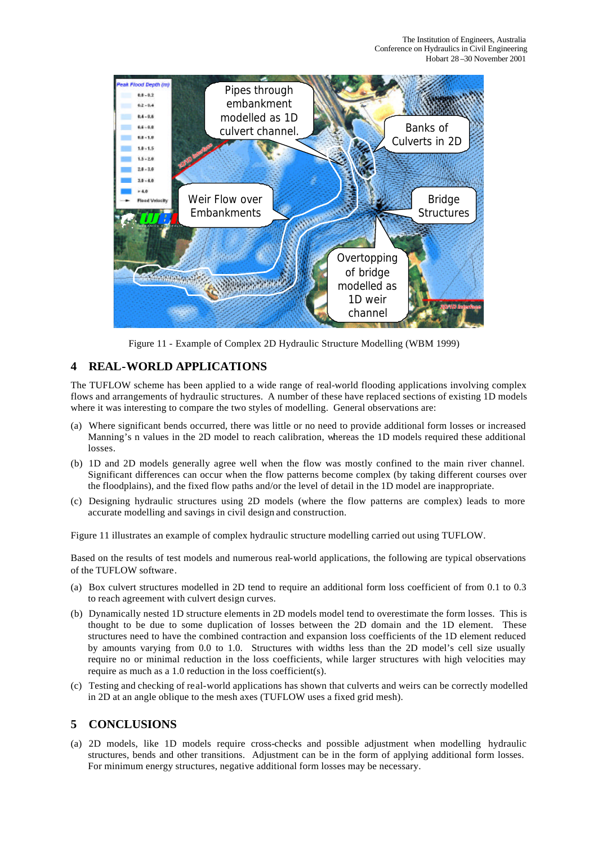

Figure 11 - Example of Complex 2D Hydraulic Structure Modelling (WBM 1999)

# **4 REAL-WORLD APPLICATIONS**

The TUFLOW scheme has been applied to a wide range of real-world flooding applications involving complex flows and arrangements of hydraulic structures. A number of these have replaced sections of existing 1D models where it was interesting to compare the two styles of modelling. General observations are:

- (a) Where significant bends occurred, there was little or no need to provide additional form losses or increased Manning's n values in the 2D model to reach calibration, whereas the 1D models required these additional losses.
- (b) 1D and 2D models generally agree well when the flow was mostly confined to the main river channel. Significant differences can occur when the flow patterns become complex (by taking different courses over the floodplains), and the fixed flow paths and/or the level of detail in the 1D model are inappropriate.
- (c) Designing hydraulic structures using 2D models (where the flow patterns are complex) leads to more accurate modelling and savings in civil design and construction.

Figure 11 illustrates an example of complex hydraulic structure modelling carried out using TUFLOW.

Based on the results of test models and numerous real-world applications, the following are typical observations of the TUFLOW software.

- (a) Box culvert structures modelled in 2D tend to require an additional form loss coefficient of from 0.1 to 0.3 to reach agreement with culvert design curves.
- (b) Dynamically nested 1D structure elements in 2D models model tend to overestimate the form losses. This is thought to be due to some duplication of losses between the 2D domain and the 1D element. These structures need to have the combined contraction and expansion loss coefficients of the 1D element reduced by amounts varying from 0.0 to 1.0. Structures with widths less than the 2D model's cell size usually require no or minimal reduction in the loss coefficients, while larger structures with high velocities may require as much as a 1.0 reduction in the loss coefficient(s).
- (c) Testing and checking of real-world applications has shown that culverts and weirs can be correctly modelled in 2D at an angle oblique to the mesh axes (TUFLOW uses a fixed grid mesh).

# **5 CONCLUSIONS**

(a) 2D models, like 1D models require cross-checks and possible adjustment when modelling hydraulic structures, bends and other transitions. Adjustment can be in the form of applying additional form losses. For minimum energy structures, negative additional form losses may be necessary.